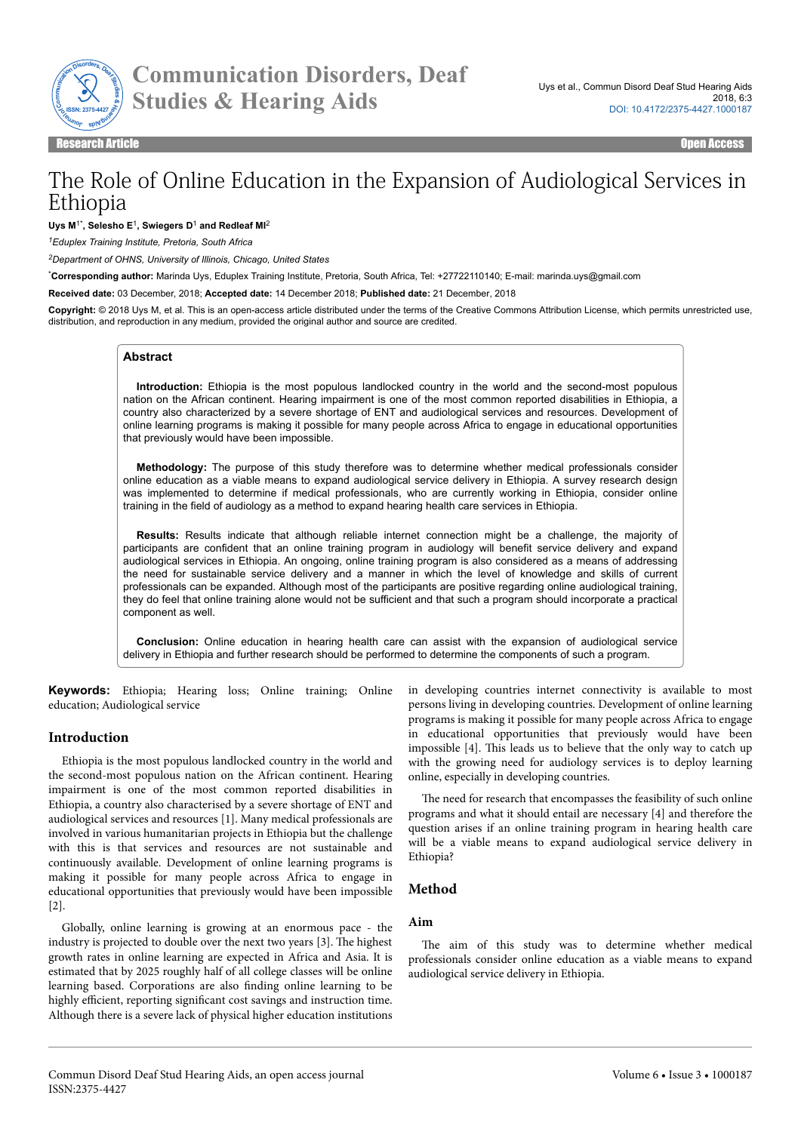

**Communication Disorders, Deaf Studies & Hearing Aids**

# The Role of Online Education in the Expansion of Audiological Services in Ethiopia

#### **Uys M**1\***, Selesho E**<sup>1</sup> **, Swiegers D**<sup>1</sup>  **and Redleaf MI**<sup>2</sup>

*<sup>1</sup>Eduplex Training Institute, Pretoria, South Africa*

*<sup>2</sup>Department of OHNS, University of Illinois, Chicago, United States*

\***Corresponding author:** Marinda Uys, Eduplex Training Institute, Pretoria, South Africa, Tel: +27722110140; E-mail: marinda.uys@gmail.com

**Received date:** 03 December, 2018; **Accepted date:** 14 December 2018; **Published date:** 21 December, 2018

**Copyright:** © 2018 Uys M, et al. This is an open-access article distributed under the terms of the Creative Commons Attribution License, which permits unrestricted use, distribution, and reproduction in any medium, provided the original author and source are credited.

#### **Abstract**

**Introduction:** Ethiopia is the most populous landlocked country in the world and the second-most populous nation on the African continent. Hearing impairment is one of the most common reported disabilities in Ethiopia, a country also characterized by a severe shortage of ENT and audiological services and resources. Development of online learning programs is making it possible for many people across Africa to engage in educational opportunities that previously would have been impossible.

**Methodology:** The purpose of this study therefore was to determine whether medical professionals consider online education as a viable means to expand audiological service delivery in Ethiopia. A survey research design was implemented to determine if medical professionals, who are currently working in Ethiopia, consider online training in the field of audiology as a method to expand hearing health care services in Ethiopia.

**Results:** Results indicate that although reliable internet connection might be a challenge, the majority of participants are confident that an online training program in audiology will benefit service delivery and expand audiological services in Ethiopia. An ongoing, online training program is also considered as a means of addressing the need for sustainable service delivery and a manner in which the level of knowledge and skills of current professionals can be expanded. Although most of the participants are positive regarding online audiological training, they do feel that online training alone would not be sufficient and that such a program should incorporate a practical component as well.

**Conclusion:** Online education in hearing health care can assist with the expansion of audiological service delivery in Ethiopia and further research should be performed to determine the components of such a program.

**Keywords:** Ethiopia; Hearing loss; Online training; Online education; Audiological service

#### **Introduction**

Ethiopia is the most populous landlocked country in the world and the second-most populous nation on the African continent. Hearing impairment is one of the most common reported disabilities in Ethiopia, a country also characterised by a severe shortage of ENT and audiological services and resources [1]. Many medical professionals are involved in various humanitarian projects in Ethiopia but the challenge with this is that services and resources are not sustainable and continuously available. Development of online learning programs is making it possible for many people across Africa to engage in educational opportunities that previously would have been impossible [2].

Globally, online learning is growing at an enormous pace - the industry is projected to double over the next two years [3]. Нe highest growth rates in online learning are expected in Africa and Asia. It is estimated that by 2025 roughly half of all college classes will be online learning based. Corporations are also finding online learning to be highly efficient, reporting significant cost savings and instruction time. Although there is a severe lack of physical higher education institutions in developing countries internet connectivity is available to most persons living in developing countries. Development of online learning programs is making it possible for many people across Africa to engage in educational opportunities that previously would have been impossible [4]. This leads us to believe that the only way to catch up with the growing need for audiology services is to deploy learning online, especially in developing countries.

The need for research that encompasses the feasibility of such online programs and what it should entail are necessary [4] and therefore the question arises if an online training program in hearing health care will be a viable means to expand audiological service delivery in Ethiopia?

## **Method**

# **Aim**

The aim of this study was to determine whether medical professionals consider online education as a viable means to expand audiological service delivery in Ethiopia.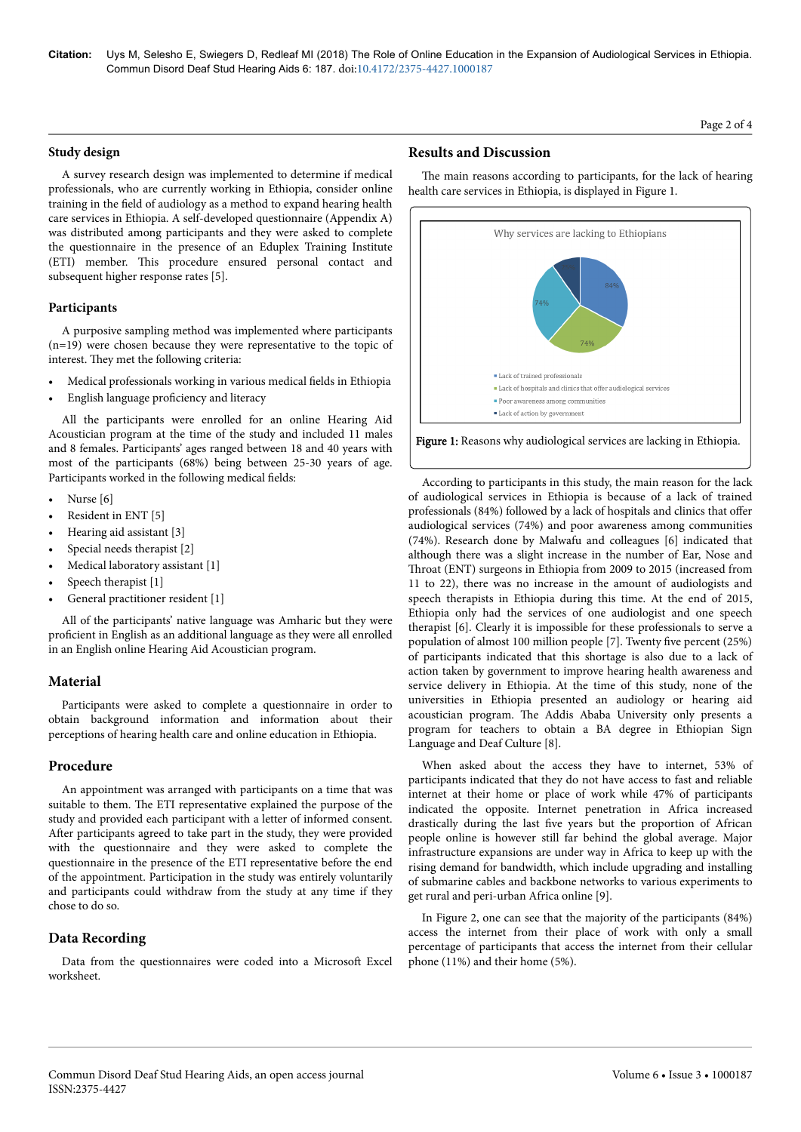**Citation:** Uys M, Selesho E, Swiegers D, Redleaf MI (2018) The Role of Online Education in the Expansion of Audiological Services in Ethiopia. Commun Disord Deaf Stud Hearing Aids 6: 187. doi:10.4172/2375-4427.1000187

#### **Study design**

A survey research design was implemented to determine if medical professionals, who are currently working in Ethiopia, consider online training in the field of audiology as a method to expand hearing health care services in Ethiopia. A self-developed questionnaire (Appendix A) was distributed among participants and they were asked to complete the questionnaire in the presence of an Eduplex Training Institute (ETI) member. This procedure ensured personal contact and subsequent higher response rates [5].

#### **Participants**

A purposive sampling method was implemented where participants (n=19) were chosen because they were representative to the topic of interest. They met the following criteria:

- Medical professionals working in various medical fields in Ethiopia
- English language proficiency and literacy

All the participants were enrolled for an online Hearing Aid Acoustician program at the time of the study and included 11 males and 8 females. Participants' ages ranged between 18 and 40 years with most of the participants (68%) being between 25-30 years of age. Participants worked in the following medical fields:

- Nurse [6]
- Resident in ENT [5]
- Hearing aid assistant [3]
- Special needs therapist [2]
- Medical laboratory assistant [1]
- Speech therapist [1]
- General practitioner resident [1]

All of the participants' native language was Amharic but they were proficient in English as an additional language as they were all enrolled in an English online Hearing Aid Acoustician program.

#### **Material**

Participants were asked to complete a questionnaire in order to obtain background information and information about their perceptions of hearing health care and online education in Ethiopia.

#### **Procedure**

An appointment was arranged with participants on a time that was suitable to them. Нe ETI representative explained the purpose of the study and provided each participant with a letter of informed consent. After participants agreed to take part in the study, they were provided with the questionnaire and they were asked to complete the questionnaire in the presence of the ETI representative before the end of the appointment. Participation in the study was entirely voluntarily and participants could withdraw from the study at any time if they chose to do so.

# **Data Recording**

Data from the questionnaires were coded into a Microsoft Excel worksheet.

## **Results and Discussion**

The main reasons according to participants, for the lack of hearing health care services in Ethiopia, is displayed in Figure 1.



According to participants in this study, the main reason for the lack of audiological services in Ethiopia is because of a lack of trained professionals (84%) followed by a lack of hospitals and clinics that offer audiological services (74%) and poor awareness among communities (74%). Research done by Malwafu and colleagues [6] indicated that although there was a slight increase in the number of Ear, Nose and Throat (ENT) surgeons in Ethiopia from 2009 to 2015 (increased from 11 to 22), there was no increase in the amount of audiologists and speech therapists in Ethiopia during this time. At the end of 2015, Ethiopia only had the services of one audiologist and one speech therapist [6]. Clearly it is impossible for these professionals to serve a population of almost 100 million people [7]. Twenty five percent (25%) of participants indicated that this shortage is also due to a lack of action taken by government to improve hearing health awareness and service delivery in Ethiopia. At the time of this study, none of the universities in Ethiopia presented an audiology or hearing aid acoustician program. Нe Addis Ababa University only presents a program for teachers to obtain a BA degree in Ethiopian Sign Language and Deaf Culture [8].

When asked about the access they have to internet, 53% of participants indicated that they do not have access to fast and reliable internet at their home or place of work while 47% of participants indicated the opposite. Internet penetration in Africa increased drastically during the last five years but the proportion of African people online is however still far behind the global average. Major infrastructure expansions are under way in Africa to keep up with the rising demand for bandwidth, which include upgrading and installing of submarine cables and backbone networks to various experiments to get rural and peri-urban Africa online [9].

In Figure 2, one can see that the majority of the participants (84%) access the internet from their place of work with only a small percentage of participants that access the internet from their cellular phone (11%) and their home (5%).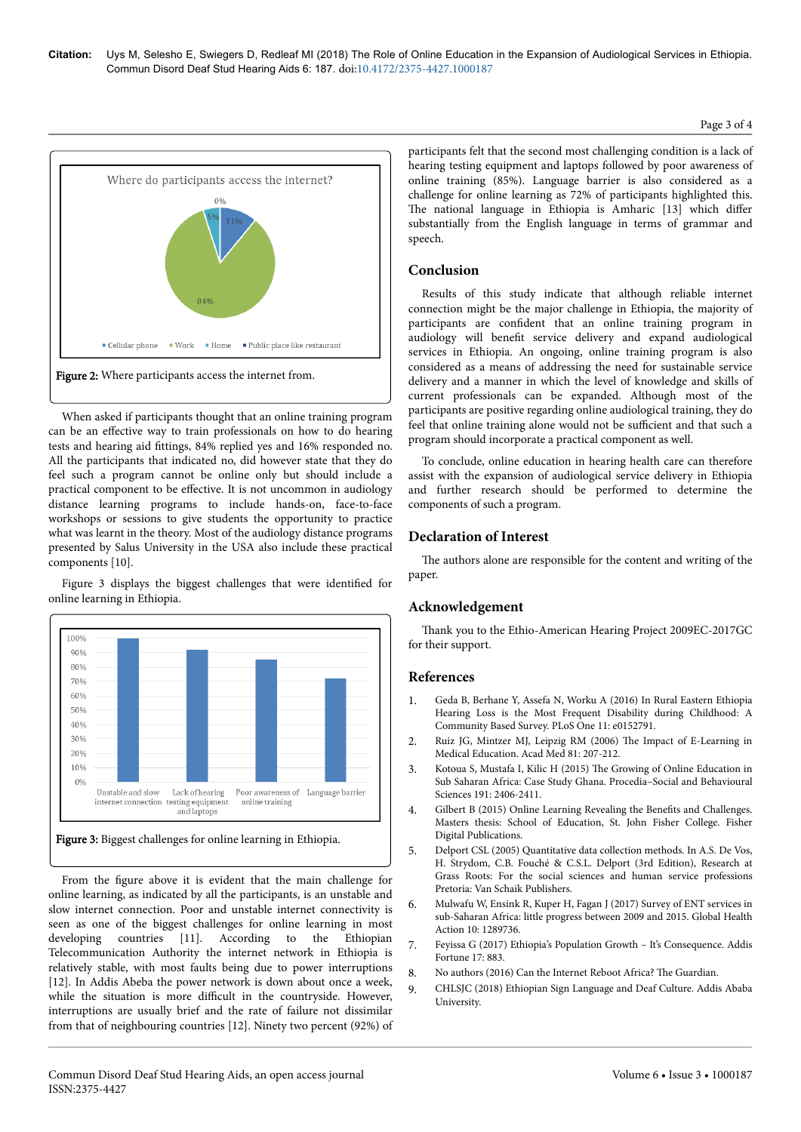

When asked if participants thought that an online training program can be an effective way to train professionals on how to do hearing tests and hearing aid fittings, 84% replied yes and 16% responded no. All the participants that indicated no, did however state that they do feel such a program cannot be online only but should include a practical component to be effective. It is not uncommon in audiology distance learning programs to include hands-on, face-to-face workshops or sessions to give students the opportunity to practice what was learnt in the theory. Most of the audiology distance programs presented by Salus University in the USA also include these practical components [10].

Figure 3 displays the biggest challenges that were identified for online learning in Ethiopia.



From the figure above it is evident that the main challenge for online learning, as indicated by all the participants, is an unstable and slow internet connection. Poor and unstable internet connectivity is seen as one of the biggest challenges for online learning in most developing countries [11]. According to the Ethiopian Telecommunication Authority the internet network in Ethiopia is relatively stable, with most faults being due to power interruptions [12]. In Addis Abeba the power network is down about once a week, while the situation is more difficult in the countryside. However, interruptions are usually brief and the rate of failure not dissimilar from that of neighbouring countries [12]. Ninety two percent (92%) of participants felt that the second most challenging condition is a lack of hearing testing equipment and laptops followed by poor awareness of online training (85%). Language barrier is also considered as a challenge for online learning as 72% of participants highlighted this. The national language in Ethiopia is Amharic [13] which differ substantially from the English language in terms of grammar and speech.

# **Conclusion**

Results of this study indicate that although reliable internet connection might be the major challenge in Ethiopia, the majority of participants are confident that an online training program in audiology will benefit service delivery and expand audiological services in Ethiopia. An ongoing, online training program is also considered as a means of addressing the need for sustainable service delivery and a manner in which the level of knowledge and skills of current professionals can be expanded. Although most of the participants are positive regarding online audiological training, they do feel that online training alone would not be sufficient and that such a program should incorporate a practical component as well.

To conclude, online education in hearing health care can therefore assist with the expansion of audiological service delivery in Ethiopia and further research should be performed to determine the components of such a program.

# **Declaration of Interest**

The authors alone are responsible for the content and writing of the paper.

# **Acknowledgement**

Нank you to the Ethio-American Hearing Project 2009EC-2017GC for their support.

# **References**

- 1. [Geda B, Berhane Y, Assefa N, Worku A \(2016\) In Rural Eastern Ethiopia](https://doi.org/10.1371/journal.pone.0152791) [Hearing Loss is the Most Frequent Disability during Childhood: A](https://doi.org/10.1371/journal.pone.0152791) [Community Based Survey. PLoS One 11: e0152791.](https://doi.org/10.1371/journal.pone.0152791)
- 2. Ruiz JG, Mintzer MJ, Leipzig RM (2006) Нe Impact of E-Learning in Medical Education. Acad Med 81: 207-212.
- 3. [Kotoua S, Mustafa I, Kilic H \(2015\)](https://core.ac.uk/download/pdf/82201285.pdf) Нe Growing of Online Education in [Sub Saharan Africa: Case Study Ghana. Procedia–Social and Behavioural](https://core.ac.uk/download/pdf/82201285.pdf) [Sciences 191: 2406-2411.](https://core.ac.uk/download/pdf/82201285.pdf)
- 4. [Gilbert B \(2015\) Online Learning Revealing the](https://fisherpub.sjfc.edu/education_ETD_masters/303/) Benefits and Challenges. [Masters thesis: School of Education, St. John Fisher College. Fisher](https://fisherpub.sjfc.edu/education_ETD_masters/303/) [Digital Publications.](https://fisherpub.sjfc.edu/education_ETD_masters/303/)
- 5. [Delport CSL \(2005\) Quantitative data collection methods. In A.S. De Vos,](https://repository.up.ac.za/bitstream/handle/2263/28710/08references.pdf?sequence=9) [H. Strydom, C.B. Fouché & C.S.L. Delport \(3rd Edition\), Research at](https://repository.up.ac.za/bitstream/handle/2263/28710/08references.pdf?sequence=9) [Grass Roots: For the social sciences and human service professions](https://repository.up.ac.za/bitstream/handle/2263/28710/08references.pdf?sequence=9) [Pretoria: Van Schaik Publishers.](https://repository.up.ac.za/bitstream/handle/2263/28710/08references.pdf?sequence=9)
- 6. [Mulwafu W, Ensink R, Kuper H, Fagan J \(2017\) Survey of ENT services in](http://dx.doi.org/10.1080/16549716.2017.1289736) [sub-Saharan Africa: little progress between 2009 and 2015. Global Health](http://dx.doi.org/10.1080/16549716.2017.1289736) [Action 10: 1289736.](http://dx.doi.org/10.1080/16549716.2017.1289736)
- 7. [Feyissa G \(2017\) Ethiopia's Population Growth It's Consequence. Addis](https://addisfortune.net/columns/ethiopias-population-growth-its-consequence/) [Fortune 17: 883.](https://addisfortune.net/columns/ethiopias-population-growth-its-consequence/)
- 8. [No authors \(2016\) Can the Internet Reboot Africa?](https://www.theguardian.com/world/2016/jul/25/can-the-internet-reboot-africa) The Guardian.
- 9. [CHLSJC \(2018\) Ethiopian Sign Language and Deaf Culture. Addis Ababa](http://www.aau.edu.et/offices/v_president-office/office-of-the-academic-vise-president/undergraduate-programs-office/undergraduate-programs/college-humanities-language-studies-journalism-and-communication/ethiopian-sign-language-and-deaf-culture/) [University.](http://www.aau.edu.et/offices/v_president-office/office-of-the-academic-vise-president/undergraduate-programs-office/undergraduate-programs/college-humanities-language-studies-journalism-and-communication/ethiopian-sign-language-and-deaf-culture/)

#### Page 3 of 4